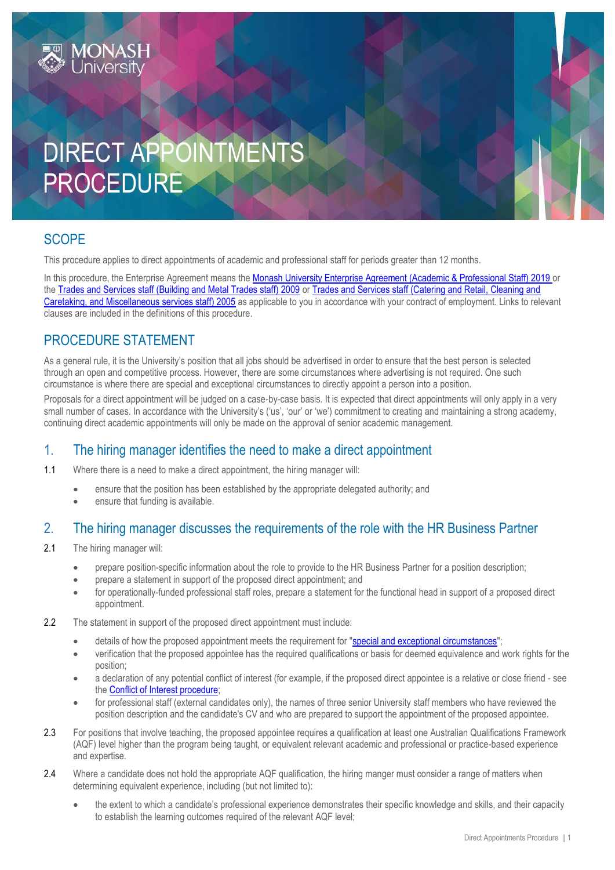# DIRECT APPOINTMENTS PROCEDURE

# **SCOPE**

This procedure applies to direct appointments of academic and professional staff for periods greater than 12 months.

In this procedure, the Enterprise Agreement means the [Monash University Enterprise Agreement \(Academic & Professional Staff\) 2019](https://www.monash.edu/current-enterprise-agreements/academic-professional-2019) or the [Trades and Services staff \(Building and Metal Trades staff\) 2009](https://www.monash.edu/current-enterprise-agreements/trades-services-bmt-2009) or [Trades and Services staff \(Catering and Retail, Cleaning and](https://www.monash.edu/current-enterprise-agreements/trades-services-crccm-2005)  [Caretaking, and Miscellaneous services staff\) 2005](https://www.monash.edu/current-enterprise-agreements/trades-services-crccm-2005) as applicable to you in accordance with your contract of employment. Links to relevant clauses are included in the definitions of this procedure.

# PROCEDURE STATEMENT

As a general rule, it is the University's position that all jobs should be advertised in order to ensure that the best person is selected through an open and competitive process. However, there are some circumstances where advertising is not required. One such circumstance is where there are special and exceptional circumstances to directly appoint a person into a position.

Proposals for a direct appointment will be judged on a case-by-case basis. It is expected that direct appointments will only apply in a very small number of cases. In accordance with the University's ('us', 'our' or 'we') commitment to creating and maintaining a strong academy, continuing direct academic appointments will only be made on the approval of senior academic management.

## 1. The hiring manager identifies the need to make a direct appointment

1.1 Where there is a need to make a direct appointment, the hiring manager will:

- ensure that the position has been established by the appropriate delegated authority; and
- ensure that funding is available.

#### 2. The hiring manager discusses the requirements of the role with the HR Business Partner

- 2.1 The hiring manager will:
	- prepare position-specific information about the role to provide to the HR Business Partner for a position description;
	- prepare a statement in support of the proposed direct appointment; and
	- for operationally-funded professional staff roles, prepare a statement for the functional head in support of a proposed direct appointment.
- 2.2 The statement in support of the proposed direct appointment must include:
	- details of how the proposed appointment meets the requirement for ["special and exceptional circumstances"](#page-3-0);
	- verification that the proposed appointee has the required qualifications or basis for deemed equivalence and work rights for the position;
	- a declaration of any potential conflict of interest (for example, if the proposed direct appointee is a relative or close friend see the [Conflict of Interest procedure;](https://publicpolicydms.monash.edu/Monash/documents/1935671)
	- for professional staff (external candidates only), the names of three senior University staff members who have reviewed the position description and the candidate's CV and who are prepared to support the appointment of the proposed appointee.
- 2.3 For positions that involve teaching, the proposed appointee requires a qualification at least one Australian Qualifications Framework (AQF) level higher than the program being taught, or equivalent relevant academic and professional or practice-based experience and expertise.
- 2.4 Where a candidate does not hold the appropriate AQF qualification, the hiring manger must consider a range of matters when determining equivalent experience, including (but not limited to):
	- the extent to which a candidate's professional experience demonstrates their specific knowledge and skills, and their capacity to establish the learning outcomes required of the relevant AQF level;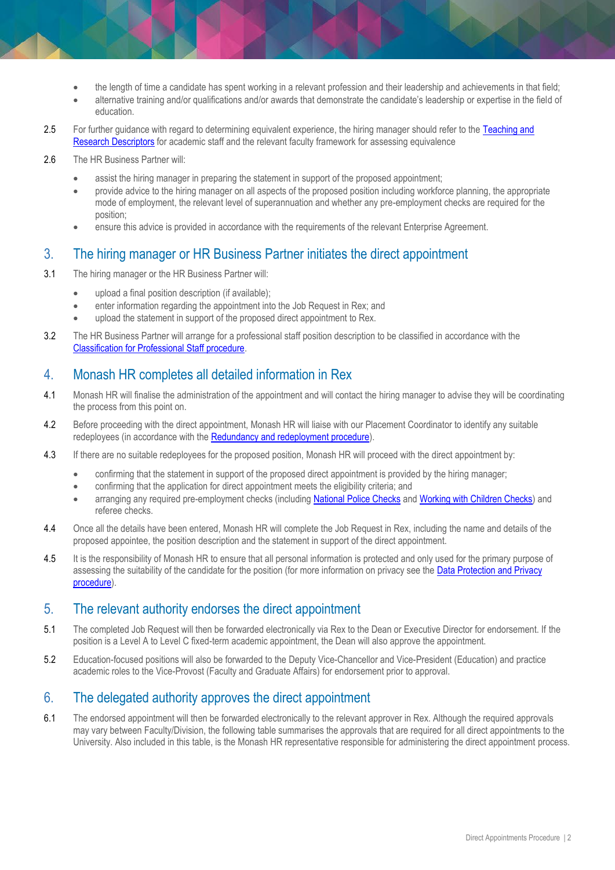- the length of time a candidate has spent working in a relevant profession and their leadership and achievements in that field;
- alternative training and/or qualifications and/or awards that demonstrate the candidate's leadership or expertise in the field of education.
- 2.5 For further guidance with regard to determining equivalent experience, the hiring manager should refer to the Teaching and [Research Descriptors](http://www.intranet.monash/hr/tools-and-resources/manager-resources/recruitment-and-appointments/categories/academic/teaching-research) for academic staff and the relevant faculty framework for assessing equivalence
- 2.6 The HR Business Partner will:
	- assist the hiring manager in preparing the statement in support of the proposed appointment;
	- provide advice to the hiring manager on all aspects of the proposed position including workforce planning, the appropriate mode of employment, the relevant level of superannuation and whether any pre-employment checks are required for the position;
	- ensure this advice is provided in accordance with the requirements of the relevant Enterprise Agreement.

#### 3. The hiring manager or HR Business Partner initiates the direct appointment

- 3.1 The hiring manager or the HR Business Partner will:
	- upload a final position description (if available);
	- enter information regarding the appointment into the Job Request in Rex; and
	- upload the statement in support of the proposed direct appointment to Rex.
- 3.2 The HR Business Partner will arrange for a professional staff position description to be classified in accordance with the [Classification for Professional Staff procedure.](https://publicpolicydms.monash.edu/Monash/documents/1935669)

## 4. Monash HR completes all detailed information in Rex

- 4.1 Monash HR will finalise the administration of the appointment and will contact the hiring manager to advise they will be coordinating the process from this point on.
- 4.2 Before proceeding with the direct appointment, Monash HR will liaise with our Placement Coordinator to identify any suitable redeployees (in accordance with th[e Redundancy and redeployment procedure\)](https://publicpolicydms.monash.edu/Monash/documents/1935728).
- 4.3 If there are no suitable redeployees for the proposed position, Monash HR will proceed with the direct appointment by:
	- confirming that the statement in support of the proposed direct appointment is provided by the hiring manager;
	- confirming that the application for direct appointment meets the eligibility criteria; and
	- arranging any required pre-employment checks (includin[g National Police Checks](https://publicpolicydms.monash.edu/Monash/documents/1935679) and [Working with Children Checks\)](https://publicpolicydms.monash.edu/Monash/documents/1935742) and referee checks.
- 4.4 Once all the details have been entered, Monash HR will complete the Job Request in Rex, including the name and details of the proposed appointee, the position description and the statement in support of the direct appointment.
- 4.5 It is the responsibility of Monash HR to ensure that all personal information is protected and only used for the primary purpose of assessing the suitability of the candidate for the position (for more information on privacy see the [Data Protection and Privacy](https://publicpolicydms.monash.edu/Monash/documents/1909233)  [procedure\)](https://publicpolicydms.monash.edu/Monash/documents/1909233).

#### 5. The relevant authority endorses the direct appointment

- 5.1 The completed Job Request will then be forwarded electronically via Rex to the Dean or Executive Director for endorsement. If the position is a Level A to Level C fixed-term academic appointment, the Dean will also approve the appointment.
- 5.2 Education-focused positions will also be forwarded to the Deputy Vice-Chancellor and Vice-President (Education) and practice academic roles to the Vice-Provost (Faculty and Graduate Affairs) for endorsement prior to approval.

#### 6. The delegated authority approves the direct appointment

6.1 The endorsed appointment will then be forwarded electronically to the relevant approver in Rex. Although the required approvals may vary between Faculty/Division, the following table summarises the approvals that are required for all direct appointments to the University. Also included in this table, is the Monash HR representative responsible for administering the direct appointment process.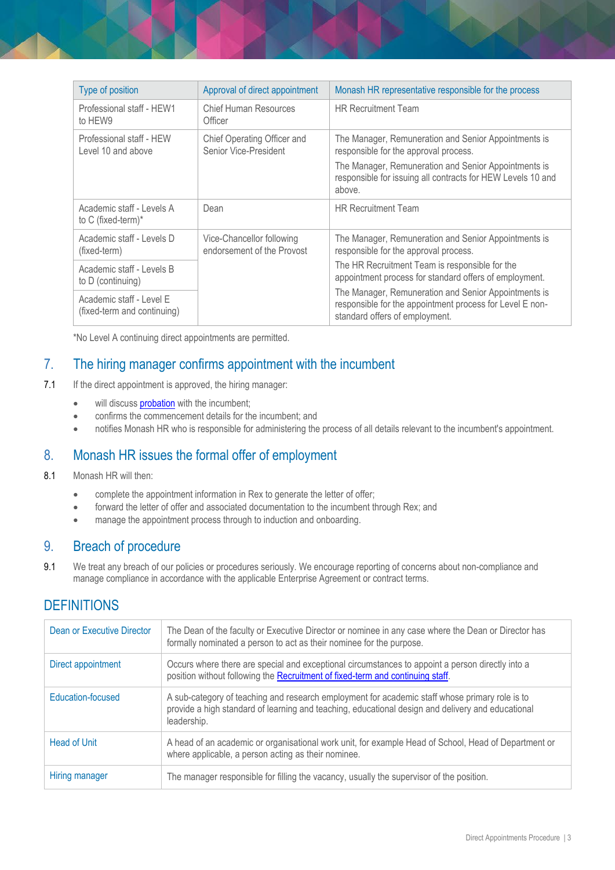| Type of position                                        | Approval of direct appointment                          | Monash HR representative responsible for the process                                                                                               |
|---------------------------------------------------------|---------------------------------------------------------|----------------------------------------------------------------------------------------------------------------------------------------------------|
| Professional staff - HEW1<br>to HEW9                    | <b>Chief Human Resources</b><br>Officer                 | <b>HR Recruitment Team</b>                                                                                                                         |
| Professional staff - HEW<br>Level 10 and above          | Chief Operating Officer and<br>Senior Vice-President    | The Manager, Remuneration and Senior Appointments is<br>responsible for the approval process.                                                      |
|                                                         |                                                         | The Manager, Remuneration and Senior Appointments is<br>responsible for issuing all contracts for HEW Levels 10 and<br>above.                      |
| Academic staff - Levels A<br>to C (fixed-term) $*$      | Dean                                                    | <b>HR Recruitment Team</b>                                                                                                                         |
| Academic staff - Levels D<br>(fixed-term)               | Vice-Chancellor following<br>endorsement of the Provost | The Manager, Remuneration and Senior Appointments is<br>responsible for the approval process.                                                      |
| Academic staff - Levels B<br>to D (continuing)          |                                                         | The HR Recruitment Team is responsible for the<br>appointment process for standard offers of employment.                                           |
| Academic staff - Level E<br>(fixed-term and continuing) |                                                         | The Manager, Remuneration and Senior Appointments is<br>responsible for the appointment process for Level E non-<br>standard offers of employment. |

\*No Level A continuing direct appointments are permitted.

## 7. The hiring manager confirms appointment with the incumbent

- 7.1 If the direct appointment is approved, the hiring manager:
	- will discuss **[probation](https://www.monash.edu/policy-bank/workplace-policy/probation-performance-and-promotion)** with the incumbent;
	- confirms the commencement details for the incumbent; and
	- notifies Monash HR who is responsible for administering the process of all details relevant to the incumbent's appointment.

## 8. Monash HR issues the formal offer of employment

- 8.1 Monash HR will then:
	- complete the appointment information in Rex to generate the letter of offer;
	- forward the letter of offer and associated documentation to the incumbent through Rex; and
	- manage the appointment process through to induction and onboarding.

#### 9. Breach of procedure

9.1 We treat any breach of our policies or procedures seriously. We encourage reporting of concerns about non-compliance and manage compliance in accordance with the applicable Enterprise Agreement or contract terms.

# **DEFINITIONS**

| Dean or Executive Director | The Dean of the faculty or Executive Director or nominee in any case where the Dean or Director has<br>formally nominated a person to act as their nominee for the purpose.                                        |
|----------------------------|--------------------------------------------------------------------------------------------------------------------------------------------------------------------------------------------------------------------|
| Direct appointment         | Occurs where there are special and exceptional circumstances to appoint a person directly into a<br>position without following the Recruitment of fixed-term and continuing staff.                                 |
| Education-focused          | A sub-category of teaching and research employment for academic staff whose primary role is to<br>provide a high standard of learning and teaching, educational design and delivery and educational<br>leadership. |
| <b>Head of Unit</b>        | A head of an academic or organisational work unit, for example Head of School, Head of Department or<br>where applicable, a person acting as their nominee.                                                        |
| Hiring manager             | The manager responsible for filling the vacancy, usually the supervisor of the position.                                                                                                                           |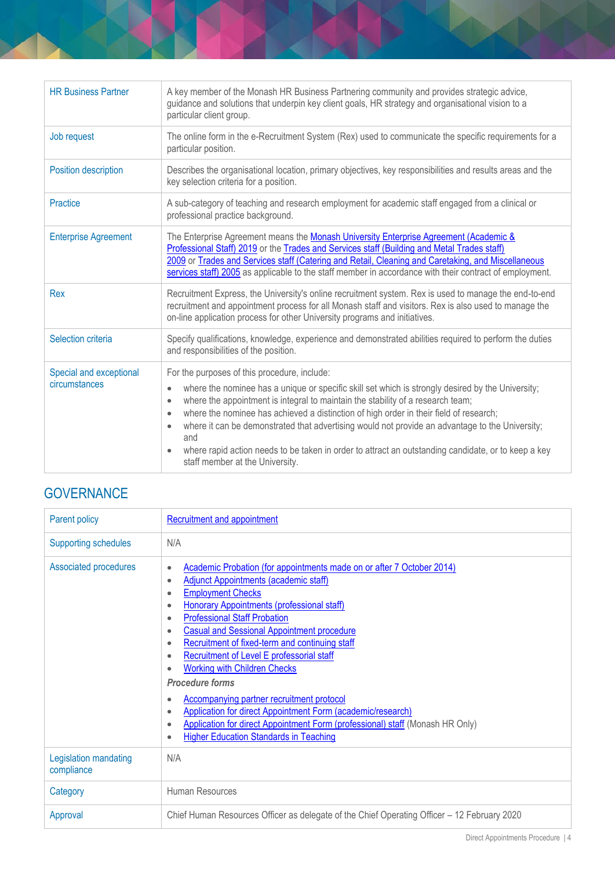| <b>HR Business Partner</b>               | A key member of the Monash HR Business Partnering community and provides strategic advice,<br>guidance and solutions that underpin key client goals, HR strategy and organisational vision to a<br>particular client group.                                                                                                                                                                                                                                                                                                                                                                                                                         |
|------------------------------------------|-----------------------------------------------------------------------------------------------------------------------------------------------------------------------------------------------------------------------------------------------------------------------------------------------------------------------------------------------------------------------------------------------------------------------------------------------------------------------------------------------------------------------------------------------------------------------------------------------------------------------------------------------------|
| Job request                              | The online form in the e-Recruitment System (Rex) used to communicate the specific requirements for a<br>particular position.                                                                                                                                                                                                                                                                                                                                                                                                                                                                                                                       |
| Position description                     | Describes the organisational location, primary objectives, key responsibilities and results areas and the<br>key selection criteria for a position.                                                                                                                                                                                                                                                                                                                                                                                                                                                                                                 |
| Practice                                 | A sub-category of teaching and research employment for academic staff engaged from a clinical or<br>professional practice background.                                                                                                                                                                                                                                                                                                                                                                                                                                                                                                               |
| <b>Enterprise Agreement</b>              | The Enterprise Agreement means the Monash University Enterprise Agreement (Academic &<br>Professional Staff) 2019 or the Trades and Services staff (Building and Metal Trades staff)<br>2009 or Trades and Services staff (Catering and Retail, Cleaning and Caretaking, and Miscellaneous<br>services staff) 2005 as applicable to the staff member in accordance with their contract of employment.                                                                                                                                                                                                                                               |
| Rex                                      | Recruitment Express, the University's online recruitment system. Rex is used to manage the end-to-end<br>recruitment and appointment process for all Monash staff and visitors. Rex is also used to manage the<br>on-line application process for other University programs and initiatives.                                                                                                                                                                                                                                                                                                                                                        |
| Selection criteria                       | Specify qualifications, knowledge, experience and demonstrated abilities required to perform the duties<br>and responsibilities of the position.                                                                                                                                                                                                                                                                                                                                                                                                                                                                                                    |
| Special and exceptional<br>circumstances | For the purposes of this procedure, include:<br>where the nominee has a unique or specific skill set which is strongly desired by the University;<br>$\bullet$<br>where the appointment is integral to maintain the stability of a research team;<br>$\bullet$<br>where the nominee has achieved a distinction of high order in their field of research;<br>$\bullet$<br>where it can be demonstrated that advertising would not provide an advantage to the University;<br>$\bullet$<br>and<br>where rapid action needs to be taken in order to attract an outstanding candidate, or to keep a key<br>$\bullet$<br>staff member at the University. |

# <span id="page-3-0"></span>**GOVERNANCE**

| Parent policy                       | <b>Recruitment and appointment</b>                                                                                                                                                                                                                                                                                                                                                                                                                                                                                                                                                                                                                                                                                                                                                                                                                                        |
|-------------------------------------|---------------------------------------------------------------------------------------------------------------------------------------------------------------------------------------------------------------------------------------------------------------------------------------------------------------------------------------------------------------------------------------------------------------------------------------------------------------------------------------------------------------------------------------------------------------------------------------------------------------------------------------------------------------------------------------------------------------------------------------------------------------------------------------------------------------------------------------------------------------------------|
| <b>Supporting schedules</b>         | N/A                                                                                                                                                                                                                                                                                                                                                                                                                                                                                                                                                                                                                                                                                                                                                                                                                                                                       |
| <b>Associated procedures</b>        | Academic Probation (for appointments made on or after 7 October 2014)<br>$\bullet$<br>Adjunct Appointments (academic staff)<br>$\bullet$<br><b>Employment Checks</b><br>$\bullet$<br><b>Honorary Appointments (professional staff)</b><br>$\bullet$<br><b>Professional Staff Probation</b><br>$\bullet$<br><b>Casual and Sessional Appointment procedure</b><br>$\bullet$<br>Recruitment of fixed-term and continuing staff<br>$\bullet$<br>Recruitment of Level E professorial staff<br>$\bullet$<br><b>Working with Children Checks</b><br>$\bullet$<br><b>Procedure forms</b><br><b>Accompanying partner recruitment protocol</b><br>$\bullet$<br>Application for direct Appointment Form (academic/research)<br>$\bullet$<br>Application for direct Appointment Form (professional) staff (Monash HR Only)<br>٠<br><b>Higher Education Standards in Teaching</b><br>٠ |
| Legislation mandating<br>compliance | N/A                                                                                                                                                                                                                                                                                                                                                                                                                                                                                                                                                                                                                                                                                                                                                                                                                                                                       |
| Category                            | Human Resources                                                                                                                                                                                                                                                                                                                                                                                                                                                                                                                                                                                                                                                                                                                                                                                                                                                           |
| Approval                            | Chief Human Resources Officer as delegate of the Chief Operating Officer - 12 February 2020                                                                                                                                                                                                                                                                                                                                                                                                                                                                                                                                                                                                                                                                                                                                                                               |